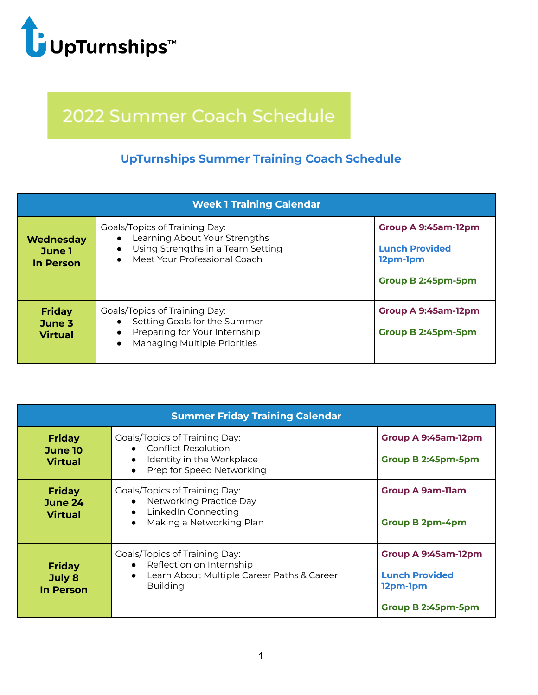

## 2022 Summer Coach Schedule

## **UpTurnships Summer Training Coach Schedule**

| <b>Week 1 Training Calendar</b>           |                                                                                                                                                    |                                                                                |  |
|-------------------------------------------|----------------------------------------------------------------------------------------------------------------------------------------------------|--------------------------------------------------------------------------------|--|
| Wednesday<br>June 1<br>In Person          | <b>Goals/Topics of Training Day:</b><br>Learning About Your Strengths<br>Using Strengths in a Team Setting<br>Meet Your Professional Coach         | Group A 9:45am-12pm<br><b>Lunch Provided</b><br>12pm-1pm<br>Group B 2:45pm-5pm |  |
| <b>Friday</b><br>June 3<br><b>Virtual</b> | <b>Goals/Topics of Training Day:</b><br>Setting Goals for the Summer<br>Preparing for Your Internship<br>Managing Multiple Priorities<br>$\bullet$ | Group A 9:45am-12pm<br>Group B 2:45pm-5pm                                      |  |

| <b>Summer Friday Training Calendar</b>      |                                                                                                                                                             |                                                                                |  |
|---------------------------------------------|-------------------------------------------------------------------------------------------------------------------------------------------------------------|--------------------------------------------------------------------------------|--|
| <b>Friday</b><br>June 10<br><b>Virtual</b>  | Goals/Topics of Training Day:<br>• Conflict Resolution<br>Identity in the Workplace<br>$\bullet$<br>Prep for Speed Networking                               | Group A 9:45am-12pm<br>Group B 2:45pm-5pm                                      |  |
| <b>Friday</b><br>June 24<br><b>Virtual</b>  | <b>Goals/Topics of Training Day:</b><br>Networking Practice Day<br>LinkedIn Connecting<br>$\bullet$<br>Making a Networking Plan<br>$\bullet$                | <b>Group A 9am-11am</b><br><b>Group B 2pm-4pm</b>                              |  |
| <b>Friday</b><br>July 8<br><b>In Person</b> | <b>Goals/Topics of Training Day:</b><br>Reflection on Internship<br>$\bullet$<br>Learn About Multiple Career Paths & Career<br>$\bullet$<br><b>Building</b> | Group A 9:45am-12pm<br><b>Lunch Provided</b><br>12pm-1pm<br>Group B 2:45pm-5pm |  |